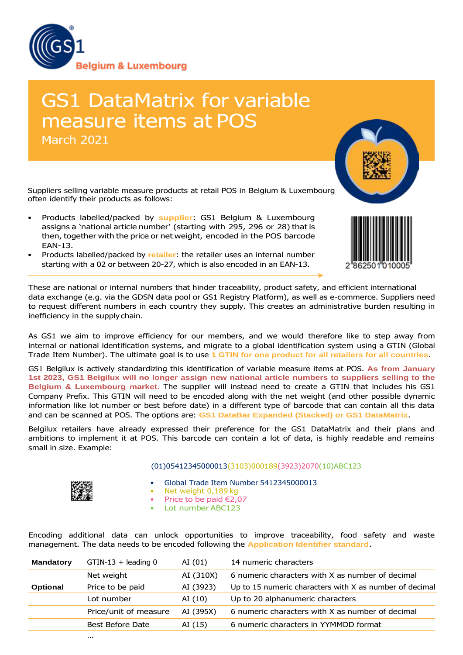

# GS1 DataMatrix for variable measure items at POS March 2021

Suppliers selling variable measure products at retail POS in Belgium & Luxembourg often identify their products as follows:

- Products labelled/packed by **supplier**: GS1 Belgium & Luxembourg assigns a 'national article number' (starting with 295, 296 or 28) that is then, together with the price or net weight, encoded in the POS barcode EAN-13.
- Products labelled/packed by **retailer**: the retailer uses an internal number starting with a 02 or between 20-27, which is also encoded in an EAN-13.



As GS1 we aim to improve efficiency for our members, and we would therefore like to step away from internal or national identification systems, and migrate to a global identification system using a GTIN (Global Trade Item Number). The ultimate goal is to use **1 GTIN for one product for all retailers for all countries**.

GS1 Belgilux is actively standardizing this identification of variable measure items at POS. **As from January 1st 2023, GS1 Belgilux will no longer assign new national article numbers to suppliers selling to the Belgium & Luxembourg market.** The supplier will instead need to create a GTIN that includes his GS1 Company Prefix. This GTIN will need to be encoded along with the net weight (and other possible dynamic information like lot number or best before date) in a different type of barcode that can contain all this data and can be scanned at POS. The options are: **GS1 DataBar Expanded (Stacked) or GS1 DataMatrix**.

Belgilux retailers have already expressed their preference for the GS1 DataMatrix and their plans and ambitions to implement it at POS. This barcode can contain a lot of data, is highly readable and remains small in size. Example:

## (01)05412345000013(3103)000189(3923)2070(10)ABC123



- Global Trade Item Number 5412345000013
- Net weight 0,189 kg
- Price to be paid €2,07
- Lot number ABC123

Encoding additional data can unlock opportunities to improve traceability, food safety and waste management. The data needs to be encoded following the **Application Identifier standard**.

| <b>Mandatory</b> | $GTIN-13 + leading 0$ | AI $(01)$ | 14 numeric characters                                   |
|------------------|-----------------------|-----------|---------------------------------------------------------|
|                  | Net weight            | AI (310X) | 6 numeric characters with X as number of decimal        |
| <b>Optional</b>  | Price to be paid      | AI (3923) | Up to 15 numeric characters with X as number of decimal |
|                  | Lot number            | AI $(10)$ | Up to 20 alphanumeric characters                        |
|                  | Price/unit of measure | AI (395X) | 6 numeric characters with X as number of decimal        |
|                  | Best Before Date      | AI (15)   | 6 numeric characters in YYMMDD format                   |
|                  |                       |           |                                                         |



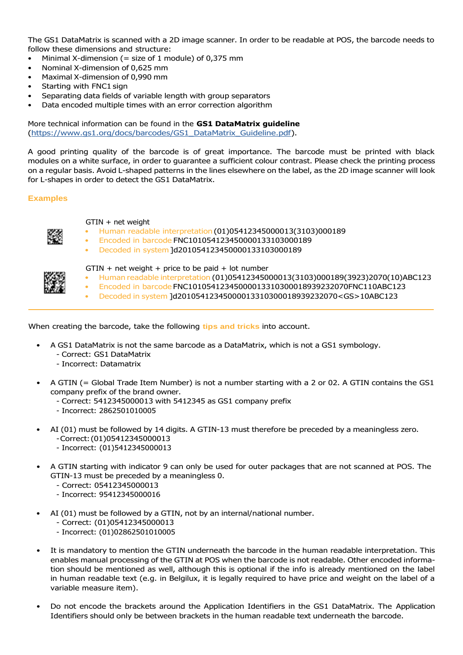The GS1 DataMatrix is scanned with a 2D image scanner. In order to be readable at POS, the barcode needs to follow these dimensions and structure:

- Minimal X-dimension (= size of 1 module) of  $0.375$  mm
- Nominal X-dimension of 0,625 mm
- Maximal X-dimension of 0,990 mm
- Starting with FNC1 sign
- Separating data fields of variable length with group separators
- Data encoded multiple times with an error correction algorithm

## More technical information can be found in the **GS1 DataMatrix guideline** (https:/[/www.gs1.org/docs/barcodes/GS1\\_DataMatrix\\_Guideline.pdf\).](http://www.gs1.org/docs/barcodes/GS1_DataMatrix_Guideline.pdf)

A good printing quality of the barcode is of great importance. The barcode must be printed with black modules on a white surface, in order to guarantee a sufficient colour contrast. Please check the printing process on a regular basis. Avoid L-shaped patterns in the lines elsewhere on the label, as the 2D image scanner will look for L-shapes in order to detect the GS1 DataMatrix.

## **Examples**

## GTIN + net weight

- Human readable interpretation (01)05412345000013(3103)000189
- Encoded in barcode FNC101054123450000133103000189
	- Decoded in system ]d201054123450000133103000189



## $G T IN + net weight + price to be paid + lot number$

- Human readable interpretation (01)05412345000013(3103)000189(3923)2070(10)ABC123
- Encoded in barcode FNC10105412345000013310300018939232070FNC110ABC123
- Decoded in system ]d20105412345000013310300018939232070<GS>10ABC123

When creating the barcode, take the following **tips and tricks** into account.

- A GS1 DataMatrix is not the same barcode as a DataMatrix, which is not a GS1 symbology.
	- Correct: GS1 DataMatrix
	- Incorrect: Datamatrix
- A GTIN (= Global Trade Item Number) is not a number starting with a 2 or 02. A GTIN contains the GS1 company prefix of the brand owner.
	- Correct: 5412345000013 with 5412345 as GS1 company prefix
	- Incorrect: 2862501010005
- AI (01) must be followed by 14 digits. A GTIN-13 must therefore be preceded by a meaningless zero.
	- -Correct:(01)05412345000013
	- Incorrect: (01)5412345000013
- A GTIN starting with indicator 9 can only be used for outer packages that are not scanned at POS. The GTIN-13 must be preceded by a meaningless 0.
	- Correct: 05412345000013
	- Incorrect: 95412345000016
- AI (01) must be followed by a GTIN, not by an internal/national number.
	- Correct: (01)05412345000013
	- Incorrect: (01)02862501010005
- It is mandatory to mention the GTIN underneath the barcode in the human readable interpretation. This enables manual processing of the GTIN at POS when the barcode is not readable. Other encoded information should be mentioned as well, although this is optional if the info is already mentioned on the label in human readable text (e.g. in Belgilux, it is legally required to have price and weight on the label of a variable measure item).
- Do not encode the brackets around the Application Identifiers in the GS1 DataMatrix. The Application Identifiers should only be between brackets in the human readable text underneath the barcode.